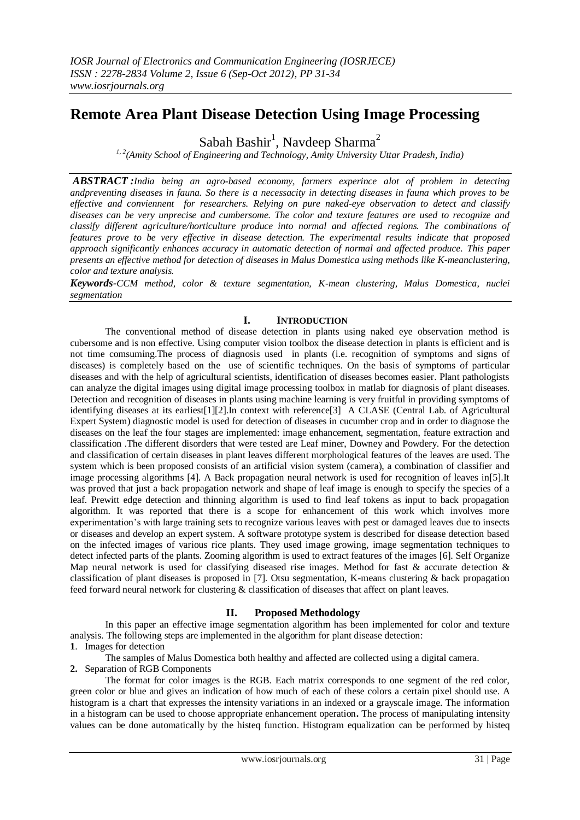# **Remote Area Plant Disease Detection Using Image Processing**

Sabah Bashir<sup>1</sup>, Navdeep Sharma<sup>2</sup>

*1, 2(Amity School of Engineering and Technology, Amity University Uttar Pradesh, India)*

*ABSTRACT :India being an agro-based economy, farmers experince alot of problem in detecting andpreventing diseases in fauna. So there is a necessacity in detecting diseases in fauna which proves to be effective and conviennent for researchers. Relying on pure naked-eye observation to detect and classify diseases can be very unprecise and cumbersome. The color and texture features are used to recognize and classify different agriculture/horticulture produce into normal and affected regions. The combinations of features prove to be very effective in disease detection. The experimental results indicate that proposed approach significantly enhances accuracy in automatic detection of normal and affected produce. This paper presents an effective method for detection of diseases in Malus Domestica using methods like K-meanclustering, color and texture analysis.*

*Keywords-CCM method, color & texture segmentation, K-mean clustering, Malus Domestica, nuclei segmentation*

# **I. INTRODUCTION**

The conventional method of disease detection in plants using naked eye observation method is cubersome and is non effective. Using computer vision toolbox the disease detection in plants is efficient and is not time comsuming.The process of diagnosis used in plants (i.e. recognition of symptoms and signs of diseases) is completely based on the use of scientific techniques. On the basis of symptoms of particular diseases and with the help of agricultural scientists, identification of diseases becomes easier. Plant pathologists can analyze the digital images using digital image processing toolbox in matlab for diagnosis of plant diseases. Detection and recognition of diseases in plants using machine learning is very fruitful in providing symptoms of identifying diseases at its earliest[1][2].In context with reference[3] A CLASE (Central Lab. of Agricultural Expert System) diagnostic model is used for detection of diseases in cucumber crop and in order to diagnose the diseases on the leaf the four stages are implemented: image enhancement, segmentation, feature extraction and classification .The different disorders that were tested are Leaf miner, Downey and Powdery. For the detection and classification of certain diseases in plant leaves different morphological features of the leaves are used. The system which is been proposed consists of an artificial vision system (camera), a combination of classifier and image processing algorithms [4]. A Back propagation neural network is used for recognition of leaves in[5].It was proved that just a back propagation network and shape of leaf image is enough to specify the species of a leaf. Prewitt edge detection and thinning algorithm is used to find leaf tokens as input to back propagation algorithm. It was reported that there is a scope for enhancement of this work which involves more experimentation's with large training sets to recognize various leaves with pest or damaged leaves due to insects or diseases and develop an expert system. A software prototype system is described for disease detection based on the infected images of various rice plants. They used image growing, image segmentation techniques to detect infected parts of the plants. Zooming algorithm is used to extract features of the images [6]. Self Organize Map neural network is used for classifying diseased rise images. Method for fast  $\&$  accurate detection  $\&$ classification of plant diseases is proposed in [7]. Otsu segmentation, K-means clustering & back propagation feed forward neural network for clustering & classification of diseases that affect on plant leaves.

## **II. Proposed Methodology**

In this paper an effective image segmentation algorithm has been implemented for color and texture analysis. The following steps are implemented in the algorithm for plant disease detection: **1**. Images for detection

The samples of Malus Domestica both healthy and affected are collected using a digital camera.

## **2.** Separation of RGB Components

The format for color images is the RGB. Each matrix corresponds to one segment of the red color, green color or blue and gives an indication of how much of each of these colors a certain pixel should use. A histogram is a chart that expresses the intensity variations in an indexed or a grayscale image. The information in a histogram can be used to choose appropriate enhancement operation**.** The process of manipulating intensity values can be done automatically by the histeq function. Histogram equalization can be performed by [histeq](xprod:../../toolbox/images/ref/histeq.html)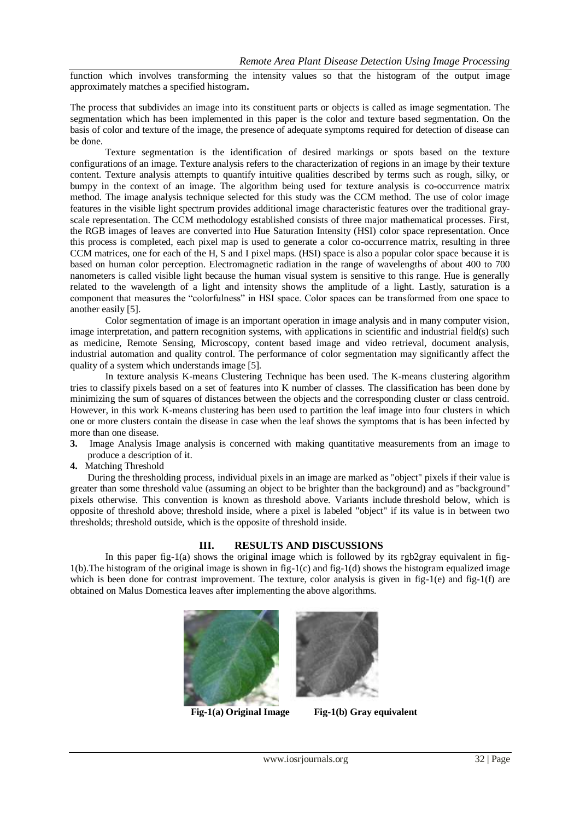function which involves transforming the intensity values so that the histogram of the output image approximately matches a specified histogram**.**

The process that subdivides an image into its constituent parts or objects is called as image segmentation. The segmentation which has been implemented in this paper is the color and texture based segmentation. On the basis of color and texture of the image, the presence of adequate symptoms required for detection of disease can be done.

Texture segmentation is the identification of desired markings or spots based on the texture configurations of an image. Texture analysis refers to the characterization of regions in an image by their texture content. Texture analysis attempts to quantify intuitive qualities described by terms such as rough, silky, or bumpy in the context of an image. The algorithm being used for texture analysis is co-occurrence matrix method. The image analysis technique selected for this study was the CCM method. The use of color image features in the visible light spectrum provides additional image characteristic features over the traditional grayscale representation. The CCM methodology established consists of three major mathematical processes. First, the RGB images of leaves are converted into Hue Saturation Intensity (HSI) color space representation. Once this process is completed, each pixel map is used to generate a color co-occurrence matrix, resulting in three CCM matrices, one for each of the H, S and I pixel maps. (HSI) space is also a popular color space because it is based on human color perception. Electromagnetic radiation in the range of wavelengths of about 400 to 700 nanometers is called visible light because the human visual system is sensitive to this range. Hue is generally related to the wavelength of a light and intensity shows the amplitude of a light. Lastly, saturation is a component that measures the "colorfulness" in HSI space. Color spaces can be transformed from one space to another easily [5].

Color segmentation of image is an important operation in image analysis and in many computer vision, image interpretation, and pattern recognition systems, with applications in scientific and industrial field(s) such as medicine, Remote Sensing, Microscopy, content based image and video retrieval, document analysis, industrial automation and quality control. The performance of color segmentation may significantly affect the quality of a system which understands image [5].

In texture analysis K-means Clustering Technique has been used. The K-means clustering algorithm tries to classify pixels based on a set of features into K number of classes. The classification has been done by minimizing the sum of squares of distances between the objects and the corresponding cluster or class centroid. However, in this work K-means clustering has been used to partition the leaf image into four clusters in which one or more clusters contain the disease in case when the leaf shows the symptoms that is has been infected by more than one disease.

- **3.** Image Analysis Image analysis is concerned with making quantitative measurements from an image to produce a description of it.
- **4.** Matching Threshold

During the thresholding process, individual pixels in an image are marked as "object" pixels if their value is greater than some threshold value (assuming an object to be brighter than the background) and as "background" pixels otherwise. This convention is known as threshold above. Variants include threshold below, which is opposite of threshold above; threshold inside, where a pixel is labeled "object" if its value is in between two thresholds; threshold outside, which is the opposite of threshold inside.

#### **III. RESULTS AND DISCUSSIONS**

In this paper fig-1(a) shows the original image which is followed by its rgb2gray equivalent in fig-1(b).The histogram of the original image is shown in fig-1(c) and fig-1(d) shows the histogram equalized image which is been done for contrast improvement. The texture, color analysis is given in fig-1(e) and fig-1(f) are obtained on Malus Domestica leaves after implementing the above algorithms.





 **Fig-1(a) Original Image Fig-1(b) Gray equivalent**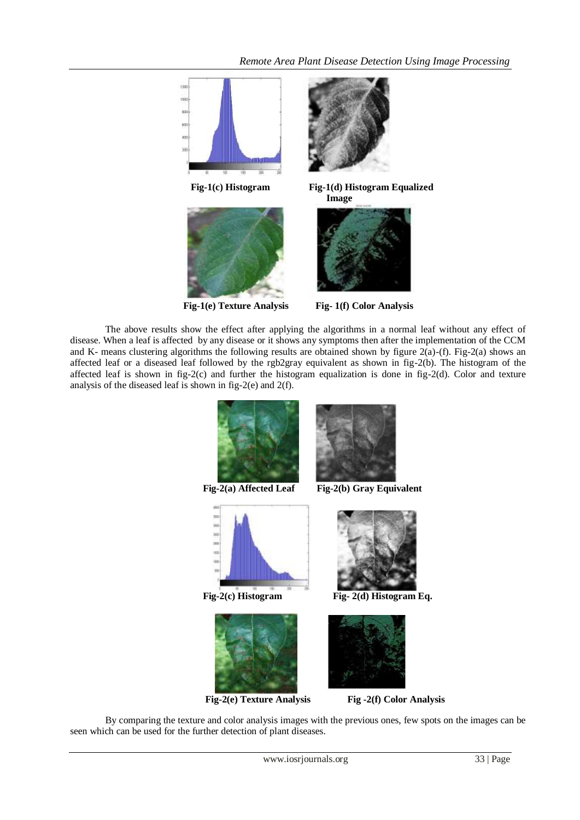





 **Fig-1(e) Texture Analysis Fig- 1(f) Color Analysis**

The above results show the effect after applying the algorithms in a normal leaf without any effect of disease. When a leaf is affected by any disease or it shows any symptoms then after the implementation of the CCM and K- means clustering algorithms the following results are obtained shown by figure 2(a)-(f). Fig-2(a) shows an affected leaf or a diseased leaf followed by the rgb2gray equivalent as shown in fig-2(b). The histogram of the affected leaf is shown in fig-2(c) and further the histogram equalization is done in fig-2(d). Color and texture analysis of the diseased leaf is shown in fig-2(e) and 2(f).





By comparing the texture and color analysis images with the previous ones, few spots on the images can be seen which can be used for the further detection of plant diseases.